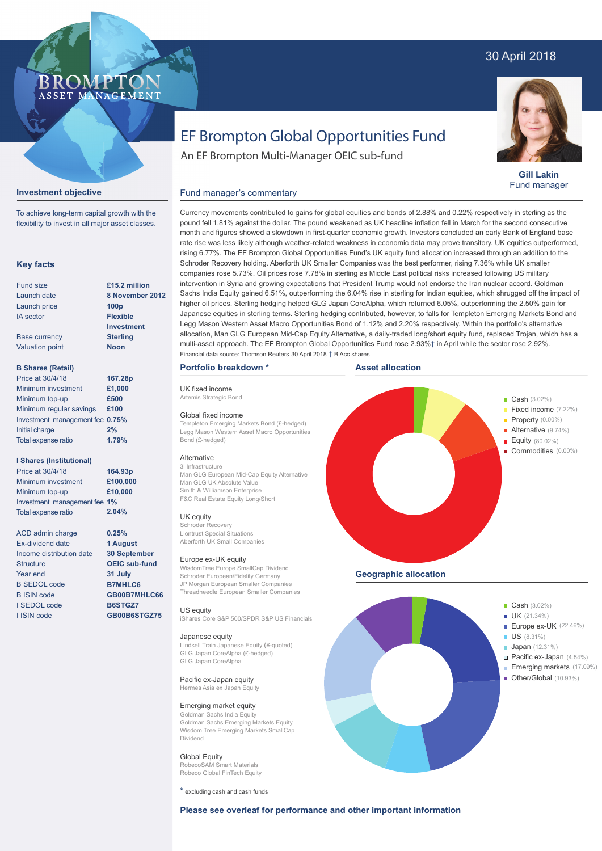# 30 April 2018



**Gill Lakin** Fund manager

# EF Brompton Global Opportunities Fund

An EF Brompton Multi-Manager OEIC sub-fund

# **Investment objective**

To achieve long-term capital growth with the flexibility to invest in all major asset classes.

**BROMPTO** ASSET MANAGEMENT

# **Key facts**

| Fund size              | £15.2 million     |
|------------------------|-------------------|
| Launch date            | 8 November 2012   |
| Launch price           | 100 <sub>p</sub>  |
| <b>IA</b> sector       | <b>Flexible</b>   |
|                        | <b>Investment</b> |
| <b>Base currency</b>   | <b>Sterling</b>   |
| <b>Valuation point</b> | <b>Noon</b>       |
|                        |                   |

# **B Shares (Retail)**

| Price at 30/4/18                | 167.28p |
|---------------------------------|---------|
| Minimum investment              | £1,000  |
| Minimum top-up                  | £500    |
| Minimum regular savings         | £100    |
| Investment management fee 0.75% |         |
| Initial charge                  | 2%      |
| Total expense ratio             | 1.79%   |

# **I Shares (Institutional)**

Minimum investment Minimum top-up Investment management fee **1%** Total expense ratio **£100,000 £10,000 164.93p** Price at 30/4/18 **2.04%**

> **0.25% 1 August 30 September OEIC sub-fund 31 July B7MHLC6 GB00B7MHLC66 B6STGZ7 GB00B6STGZ75**

ACD admin charge Ex-dividend date Income distribution date **Structure** Year end B SEDOL code B ISIN code I SEDOL code I ISIN code

Currency movements contributed to gains for global equities and bonds of 2.88% and 0.22% respectively in sterling as the pound fell 1.81% against the dollar. The pound weakened as UK headline inflation fell in March for the second consecutive month and figures showed a slowdown in first-quarter economic growth. Investors concluded an early Bank of England base rate rise was less likely although weather-related weakness in economic data may prove transitory. UK equities outperformed, rising 6.77%. The EF Brompton Global Opportunities Fund's UK equity fund allocation increased through an addition to the Schroder Recovery holding. Aberforth UK Smaller Companies was the best performer, rising 7.36% while UK smaller companies rose 5.73%. Oil prices rose 7.78% in sterling as Middle East political risks increased following US military intervention in Syria and growing expectations that President Trump would not endorse the Iran nuclear accord. Goldman

# **Portfolio breakdown \***

Fund manager's commentary

UK fixed income Artemis Strategic Bond

#### Global fixed income

Templeton Emerging Markets Bond (£-hedged) Legg Mason Western Asset Macro Opportunities Bond (£-hedged)

# Alternative

3i Infrastructure Man GLG European Mid-Cap Equity Alternative Man GLG UK Absolute Value Smith & Williamson Enterprise F&C Real Estate Equity Long/Short

#### UK equity

Schroder Recovery Liontrust Special Situations Aberforth UK Small Companies

#### Europe ex-UK equity

WisdomTree Europe SmallCap Dividend Schroder European/Fidelity Germany JP Morgan European Smaller Companies Threadneedle European Smaller Companies

#### US equity iShares Core S&P 500/SPDR S&P US Financials

Japanese equity

Lindsell Train Japanese Equity (¥-quoted) GLG Japan CoreAlpha (£-hedged) GLG Japan CoreAlpha

#### Pacific ex-Japan equity Hermes Asia ex Japan Equity

Emerging market equity

Goldman Sachs India Equity Goldman Sachs Emerging Markets Equity Wisdom Tree Emerging Markets SmallCap Dividend

#### Global Equity RobecoSAM Smart Materials Robeco Global FinTech Equity

**\*** excluding cash and cash funds





**Geographic allocation**